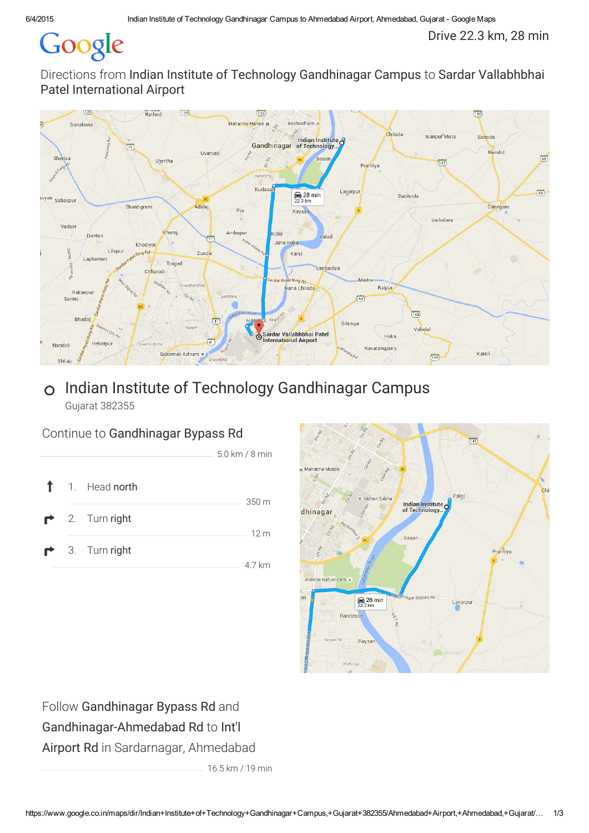# Google

Drive 22.3 km, 28 min

Directions from Indian Institute of Technology Gandhinagar Campus to Sardar Vallabhbhai Patel International Airport



## Indian Institute of Technology Gandhinagar Campus  $\overline{O}$ Gujarat 382355

## Continue to Gandhinagar Bypass Rd





Follow Gandhinagar Bypass Rd and Gandhinagar-Ahmedabad Rd to Int'l Airport Rd in Sardarnagar, Ahmedabad

16.5 km / 19 min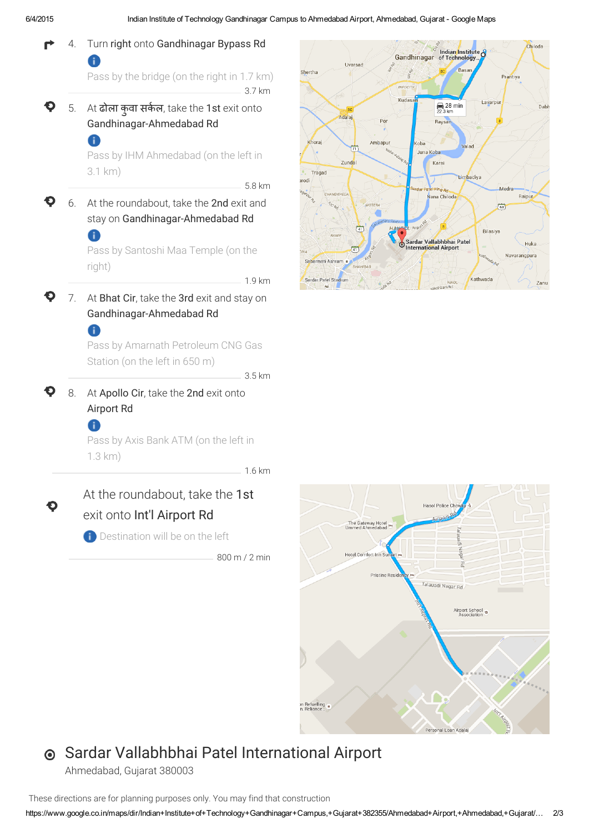





## Sardar Vallabhbhai Patel International Airport

Ahmedabad, Gujarat 380003

These directions are for planning purposes only. You may find that construction